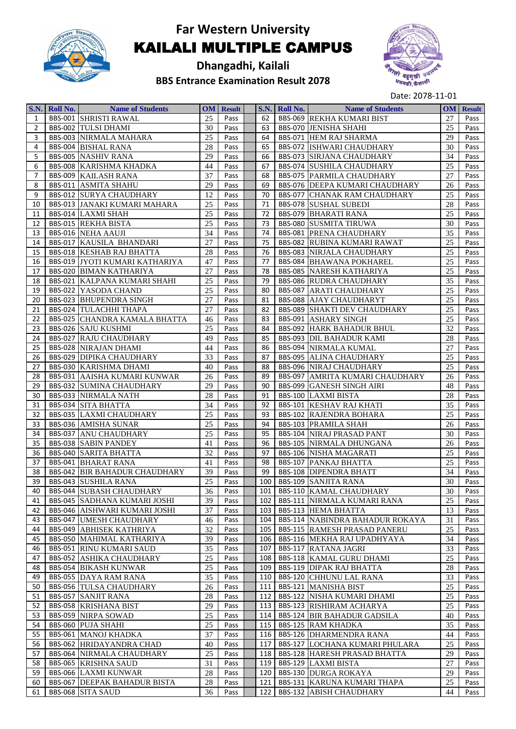

**Dhangadhi, Kailali BBS Entrance Examination Result 2078**



|                | S.N. Roll No. | <b>Name of Students</b>               |        | <b>OM</b> Result |                  | S.N. Roll No. | <b>Name of Students</b>                |    | <b>OM</b> Result |
|----------------|---------------|---------------------------------------|--------|------------------|------------------|---------------|----------------------------------------|----|------------------|
| 1              |               | <b>BBS-001 SHRISTI RAWAL</b>          | 25     | Pass             | 62               |               | <b>BBS-069 REKHA KUMARI BIST</b>       | 27 | Pass             |
| $\overline{2}$ |               | <b>BBS-002 TULSI DHAMI</b>            | 30     | Pass             | 63               |               | <b>BBS-070 JENISHA SHAHI</b>           | 25 | Pass             |
| 3              |               | <b>BBS-003 NIRMALA MAHARA</b>         | 25     | Pass             | 64               |               | <b>BBS-071 HEM RAJ SHARMA</b>          | 29 | Pass             |
| 4              |               | <b>BBS-004 BISHAL RANA</b>            | 28     | Pass             | 65               |               | <b>BBS-072 ISHWARI CHAUDHARY</b>       | 30 | Pass             |
| 5              |               | <b>BBS-005 NASHIV RANA</b>            | 29     | Pass             | 66               |               | <b>BBS-073 SIRJANA CHAUDHARY</b>       | 34 | Pass             |
| 6              |               | <b>BBS-008 KARISHMA KHADKA</b>        | 44     | Pass             | 67               |               | <b>BBS-074 SUSHILA CHAUDHARY</b>       | 25 | Pass             |
| $\overline{7}$ |               | <b>BBS-009 KAILASH RANA</b>           | 37     | Pass             | 68               |               | <b>BBS-075 PARMILA CHAUDHARY</b>       | 27 | Pass             |
| 8              |               | <b>BBS-011 ASMITA SHAHU</b>           | 29     | Pass             | 69               |               | <b>BBS-076 DEEPA KUMARI CHAUDHARY</b>  | 26 | Pass             |
| 9              |               | <b>BBS-012 SURYA CHAUDHARY</b>        | 12     | Pass             | 70               |               | <b>BBS-077 CHANAK RAM CHAUDHARY</b>    | 25 | Pass             |
| 10             |               | <b>BBS-013 JANAKI KUMARI MAHARA</b>   | 25     | Pass             | 71               |               | <b>BBS-078 SUSHAL SUBEDI</b>           | 28 | Pass             |
| 11             |               | <b>BBS-014 LAXMI SHAH</b>             | 25     | Pass             | 72               |               | <b>BBS-079 BHARATI RANA</b>            | 25 | Pass             |
| 12             |               | <b>BBS-015 REKHA BISTA</b>            | 25     | Pass             | 73               |               | <b>BBS-080 SUSMITA TIRUWA</b>          | 30 | Pass             |
| 13             |               | <b>BBS-016 NEHA AAUJI</b>             | 34     | Pass             | 74               |               | <b>BBS-081 PRENA CHAUDHARY</b>         | 35 | Pass             |
|                |               |                                       | 27     |                  | 75               |               |                                        |    |                  |
| 14             |               | <b>BBS-017 KAUSILA BHANDARI</b>       |        | Pass             |                  |               | <b>BBS-082 RUBINA KUMARI RAWAT</b>     | 25 | Pass             |
| 15             |               | <b>BBS-018 KESHAB RAJ BHATTA</b>      | 28     | Pass             | 76               |               | <b>BBS-083 NIRJALA CHAUDHARY</b>       | 25 | Pass             |
| 16             |               | <b>BBS-019 JYOTI KUMARI KATHARIYA</b> | 47     | Pass             | 77               |               | <b>BBS-084 BHAWANA POKHAREL</b>        | 25 | Pass             |
| 17             |               | <b>BBS-020 BIMAN KATHARIYA</b>        | 27     | Pass             | 78               |               | <b>BBS-085 NARESH KATHARIYA</b>        | 25 | Pass             |
| 18             |               | <b>BBS-021 KALPANA KUMARI SHAHI</b>   | 25     | Pass             | 79               |               | <b>BBS-086 RUDRA CHAUDHARY</b>         | 35 | Pass             |
| 19             |               | <b>BBS-022 YASODA CHAND</b>           | 25     | Pass             | 80               |               | <b>BBS-087 ARATI CHAUDHARY</b>         | 25 | Pass             |
| 20             |               | <b>BBS-023 BHUPENDRA SINGH</b>        | 27     | Pass             | 81               |               | <b>BBS-088 AJAY CHAUDHARYT</b>         | 25 | Pass             |
| 21             |               | <b>BBS-024 TULACHHI THAPA</b>         | 27     | Pass             | 82               |               | <b>BBS-089 SHAKTI DEV CHAUDHARY</b>    | 25 | Pass             |
| 22             |               | BBS-025 CHANDRA KAMALA BHATTA         | 46     | Pass             | 83               |               | <b>BBS-091 ASHARY SINGH</b>            | 25 | Pass             |
| 23             |               | <b>BBS-026 SAJU KUSHMI</b>            | 25     | Pass             | 84               |               | <b>BBS-092 HARK BAHADUR BHUL</b>       | 32 | Pass             |
| 24             |               | <b>BBS-027 RAJU CHAUDHARY</b>         | 49     | Pass             | 85               |               | <b>BBS-093 DIL BAHADUR KAMI</b>        | 28 | Pass             |
| 25             |               | <b>BBS-028 NIRAJAN DHAMI</b>          | 44     | Pass             | 86               |               | <b>BBS-094 NIRMALA KUMAL</b>           | 27 | Pass             |
| 26             |               | <b>BBS-029 DIPIKA CHAUDHARY</b>       | 33     | Pass             | 87               |               | <b>BBS-095 ALINA CHAUDHARY</b>         | 25 | Pass             |
| 27             |               | <b>BBS-030 KARISHMA DHAMI</b>         | 40     | Pass             | 88               |               | <b>BBS-096 NIRAJ CHAUDHARY</b>         | 25 | Pass             |
| 28             |               | <b>BBS-031 AAISHA KUMARI KUNWAR</b>   | 26     | Pass             | 89               |               | <b>BBS-097 AMRITA KUMARI CHAUDHARY</b> | 26 | Pass             |
| 29             |               | <b>BBS-032 SUMINA CHAUDHARY</b>       | 29     | Pass             | 90               |               | <b>BBS-099 GANESH SINGH AIRI</b>       | 48 | Pass             |
| 30             |               | <b>BBS-033 NIRMALA NATH</b>           | 28     | Pass             | 91               |               | <b>BBS-100 LAXMI BISTA</b>             | 28 | Pass             |
| 31             |               | <b>BBS-034 SITA BHATTA</b>            | 34     | Pass             | 92               |               | <b>BBS-101 KESHAV RAJ KHATI</b>        | 35 | Pass             |
| 32             |               | <b>BBS-035 LAXMI CHAUDHARY</b>        | 25     | Pass             | 93               |               | <b>BBS-102 RAJENDRA BOHARA</b>         | 25 | Pass             |
| 33             |               | <b>BBS-036 AMISHA SUNAR</b>           | 25     | Pass             | 94               |               | <b>BBS-103 PRAMILA SHAH</b>            | 26 | Pass             |
| 34             |               | <b>BBS-037 ANU CHAUDHARY</b>          | 25     | Pass             | 95               |               | <b>BBS-104 NIRAJ PRASAD PANT</b>       | 30 | Pass             |
| 35             |               | <b>BBS-038 SABIN PANDEY</b>           | 41     | Pass             | 96               |               | <b>BBS-105 NIRMALA DHUNGANA</b>        | 26 | Pass             |
| 36             |               | <b>BBS-040 SARITA BHATTA</b>          | 32     | Pass             | 97               |               | <b>BBS-106 NISHA MAGARATI</b>          | 25 | Pass             |
| 37             |               | <b>BBS-041 BHARAT RANA</b>            | 41     | Pass             | 98               |               | <b>BBS-107 PANKAJ BHATTA</b>           | 25 | Pass             |
| 38             |               | <b>BBS-042 BIR BAHADUR CHAUDHARY</b>  | 39     | Pass             | 99               |               | <b>BBS-108 DIPENDRA BHATT</b>          | 34 | Pass             |
| 39             |               | <b>BBS-043 SUSHILA RANA</b>           | 25     | Pass             | 100              |               | <b>BBS-109 SANJITA RANA</b>            | 30 | Pass             |
| 40             |               | <b>BBS-044 SUBASH CHAUDHARY</b>       | 36     | Pass I           | 101              |               | <b>BBS-110 KAMAL CHAUDHARY</b>         | 30 | Pass             |
| 41             |               | <b>BBS-045 SADHANA KUMARI JOSHI</b>   | 39     | Pass             | 102 <sub>1</sub> |               | <b>BBS-111 NIRMALA KUMARI RANA</b>     | 25 | Pass             |
| 42             |               | <b>BBS-046 AISHWARI KUMARI JOSHI</b>  | 37     | Pass             | 103              |               | <b>BBS-113 HEMA BHATTA</b>             | 13 | Pass             |
| 43             |               | <b>BBS-047 UMESH CHAUDHARY</b>        | 46     | Pass             | 104              |               | <b>BBS-114 NABINDRA BAHADUR ROKAYA</b> | 31 | Pass             |
| 44             |               | <b>BBS-049 ABHISEK KATHRIYA</b>       | 32     | Pass             | 105              |               | <b>BBS-115 RAMESH PRASAD PANERU</b>    | 25 | Pass             |
| 45             |               | <b>BBS-050 MAHIMAL KATHARIYA</b>      | 39     | Pass             | 106              |               | <b>BBS-116 MEKHA RAJ UPADHYAYA</b>     | 34 | Pass             |
| 46             |               | <b>BBS-051 RINU KUMARI SAUD</b>       | 35     | Pass             | 107              |               | <b>BBS-117 RATANA JAGRI</b>            | 33 | Pass             |
| 47             |               | <b>BBS-052 ASHIKA CHAUDHARY</b>       | 25     | Pass             | 108              |               | <b>BBS-118 KAMAL GURU DHAMI</b>        | 25 | Pass             |
| 48             |               | <b>BBS-054 BIKASH KUNWAR</b>          | 25     | Pass             | 109              |               | <b>BBS-119 DIPAK RAJ BHATTA</b>        | 28 | Pass             |
| 49             |               | <b>BBS-055 DAYA RAM RANA</b>          | 35     | Pass             | 110              |               | <b>BBS-120 CHHUNU LAL RANA</b>         | 33 | Pass             |
| 50             |               | <b>BBS-056 TULSA CHAUDHARY</b>        | 26     | Pass             | 111              |               | <b>BBS-121 MANISHA BIST</b>            | 25 | Pass             |
| 51             |               | <b>BBS-057 SANJIT RANA</b>            | 28     | Pass             | 112              |               | <b>BBS-122 NISHA KUMARI DHAMI</b>      | 25 | Pass             |
| 52             |               | <b>BBS-058 KRISHANA BIST</b>          | 29     | Pass             | 113              |               | <b>BBS-123 RISHIRAM ACHARYA</b>        | 25 | Pass             |
| 53             |               | <b>BBS-059 NIRPA SOWAD</b>            | 25     | Pass             | 114              |               | <b>BBS-124 BIR BAHADUR GADSILA</b>     | 40 | Pass             |
| 54             |               | <b>BBS-060 PUJA SHAHI</b>             | $25\,$ | Pass             | 115              |               | <b>BBS-125 RAM KHADKA</b>              | 35 | Pass             |
| 55             |               | <b>BBS-061 MANOJ KHADKA</b>           | 37     | Pass             | 116              |               | <b>BBS-126 DHARMENDRA RANA</b>         | 44 | Pass             |
| 56             |               | <b>BBS-062 HRIDAYANDRA CHAD</b>       | 40     | Pass             | 117              |               | <b>BBS-127 LOCHANA KUMARI PHULARA</b>  | 25 | Pass             |
| 57             |               | <b>BBS-064 NIRMALA CHAUDHARY</b>      | 25     |                  | 118              |               | <b>BBS-128 HARESH PRASAD BHATTA</b>    | 29 | Pass             |
|                |               |                                       |        | Pass             |                  |               |                                        |    |                  |
| 58             |               | <b>BBS-065 KRISHNA SAUD</b>           | 31     | Pass             | 119              |               | <b>BBS-129 LAXMI BISTA</b>             | 27 | Pass             |
| 59             |               | <b>BBS-066 LAXMI KUNWAR</b>           | 28     | Pass             | 120              |               | <b>BBS-130 DURGA ROKAYA</b>            | 29 | Pass             |
| 60             |               | <b>BBS-067 DEEPAK BAHADUR BISTA</b>   | 28     | Pass             | 121              |               | <b>BBS-131 KARUNA KUMARI THAPA</b>     | 25 | Pass             |
| 61             |               | <b>BBS-068 SITA SAUD</b>              | 36     | Pass             | 122              |               | <b>BBS-132 ABISH CHAUDHARY</b>         | 44 | Pass             |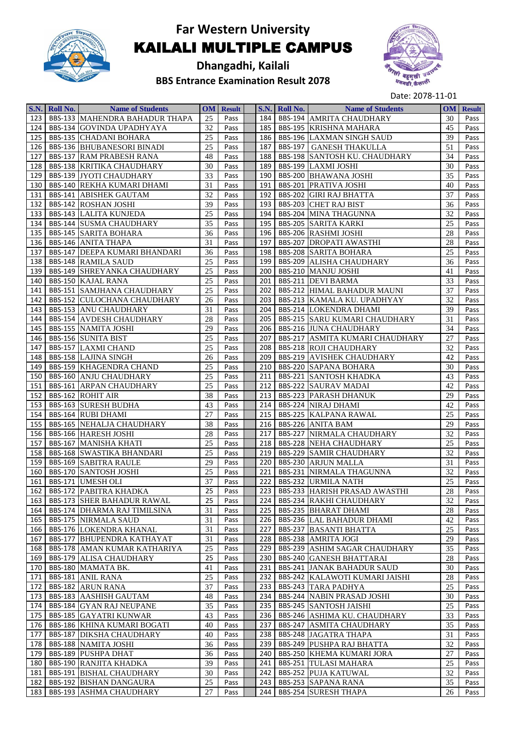

**Dhangadhi, Kailali BBS Entrance Examination Result 2078**



|     | S.N. Roll No. | <b>Name of Students</b>               |    | <b>OM</b> Result |       | S.N. Roll No. | <b>Name of Students</b>                | <b>OM</b> | <b>Result</b> |
|-----|---------------|---------------------------------------|----|------------------|-------|---------------|----------------------------------------|-----------|---------------|
| 123 |               | <b>BBS-133 MAHENDRA BAHADUR THAPA</b> | 25 | Pass             | 184   |               | <b>BBS-194 AMRITA CHAUDHARY</b>        | 30        | Pass          |
| 124 |               | BBS-134 GOVINDA UPADHYAYA             | 32 | Pass             | 185   |               | <b>BBS-195 KRISHNA MAHARA</b>          | 45        | Pass          |
| 125 |               | <b>BBS-135 CHADANI BOHARA</b>         | 25 | Pass             | 186   |               | <b>BBS-196 LAXMAN SINGH SAUD</b>       | 39        | Pass          |
| 126 |               | <b>BBS-136 BHUBANESORI BINADI</b>     | 25 | Pass             | 187   |               | <b>BBS-197 GANESH THAKULLA</b>         | 51        | Pass          |
| 127 |               | <b>BBS-137 RAM PRABESH RANA</b>       | 48 | Pass             | 188   |               | <b>BBS-198 SANTOSH KU. CHAUDHARY</b>   | 34        | Pass          |
| 128 |               | <b>BBS-138 KRITIKA CHAUDHARY</b>      | 30 | Pass             | 189   |               | BBS-199 LAXMI JOSHI                    | 30        | Pass          |
| 129 |               | <b>BBS-139 JYOTI CHAUDHARY</b>        | 33 | Pass             | 190   |               | <b>BBS-200 BHAWANA JOSHI</b>           | 35        | Pass          |
| 130 |               | <b>BBS-140 REKHA KUMARI DHAMI</b>     | 31 | Pass             | 191   |               | <b>BBS-201 PRATIVA JOSHI</b>           | 40        | Pass          |
| 131 |               | <b>BBS-141 ABISHEK GAUTAM</b>         | 32 | Pass             | 192   |               | <b>BBS-202 GIRI RAJ BHATTA</b>         | 37        | Pass          |
| 132 |               | <b>BBS-142 ROSHAN JOSHI</b>           | 39 | Pass             | 193   |               | <b>BBS-203 CHET RAJ BIST</b>           | 36        | Pass          |
| 133 |               | <b>BBS-143 LALITA KUNJEDA</b>         | 25 | Pass             | 194   |               | <b>BBS-204 MINA THAGUNNA</b>           | 32        | Pass          |
| 134 |               | <b>BBS-144 SUSMA CHAUDHARY</b>        | 35 | Pass             | 195   |               | <b>BBS-205 SARITA KARKI</b>            | 25        | Pass          |
| 135 |               | <b>BBS-145 SARITA BOHARA</b>          | 36 | Pass             | 196   |               | <b>BBS-206 RASHMI JOSHI</b>            | 28        | Pass          |
| 136 |               | <b>BBS-146 ANITA THAPA</b>            | 31 | Pass             | 197   |               | <b>BBS-207 DROPATI AWASTHI</b>         | 28        | Pass          |
| 137 |               | <b>BBS-147 DEEPA KUMARI BHANDARI</b>  | 36 | Pass             | 198   |               | <b>BBS-208 SARITA BOHARA</b>           | 25        | Pass          |
| 138 |               | <b>BBS-148 RAMILA SAUD</b>            | 25 | Pass             | 199   |               | <b>BBS-209 ALISHA CHAUDHARY</b>        | 36        | Pass          |
| 139 |               | <b>BBS-149 SHREYANKA CHAUDHARY</b>    | 25 | Pass             | 200   |               | BBS-210 MANJU JOSHI                    | 41        | Pass          |
| 140 |               | <b>BBS-150 KAJAL RANA</b>             | 25 | Pass             | 201   |               | <b>BBS-211 DEVI BARMA</b>              | 33        | Pass          |
| 141 |               | <b>BBS-151 SAMJHANA CHAUDHARY</b>     | 25 | Pass             | 202   |               | <b>BBS-212 HIMAL BAHADUR MAUNI</b>     | 37        | Pass          |
| 142 |               | <b>BBS-152 CULOCHANA CHAUDHARY</b>    | 26 | Pass             | 203   |               | BBS-213 KAMALA KU. UPADHYAY            | 32        | Pass          |
| 143 |               | <b>BBS-153 ANU CHAUDHARY</b>          | 31 | Pass             | 204   |               | <b>BBS-214 LOKENDRA DHAMI</b>          | 39        | Pass          |
| 144 |               | <b>BBS-154 AVDESH CHAUDHARY</b>       | 28 | Pass             | 205   |               | <b>BBS-215 SARU KUMARI CHAUDHARY</b>   | 31        | Pass          |
| 145 |               | <b>BBS-155 NAMITA JOSHI</b>           | 29 | Pass             | 206   |               | <b>BBS-216 JUNA CHAUDHARY</b>          | 34        | Pass          |
| 146 |               | <b>BBS-156 SUNITA BIST</b>            | 25 | Pass             | 207   |               | <b>BBS-217 ASMITA KUMARI CHAUDHARY</b> | 27        | Pass          |
| 147 |               | <b>BBS-157 LAXMI CHAND</b>            | 25 | Pass             | 208   |               | <b>BBS-218 ROJI CHAUDHARY</b>          | 32        | Pass          |
| 148 |               | <b>BBS-158 LAJINA SINGH</b>           | 26 | Pass             | 209   |               | <b>BBS-219 AVISHEK CHAUDHARY</b>       | 42        | Pass          |
| 149 |               | <b>BBS-159 KHAGENDRA CHAND</b>        | 25 | Pass             | 210   |               | <b>BBS-220 SAPANA BOHARA</b>           | 30        | Pass          |
| 150 |               | <b>BBS-160 ANJU CHAUDHARY</b>         | 25 | Pass             | 211   |               | <b>BBS-221 SANTOSH KHADKA</b>          | 43        | Pass          |
| 151 |               | <b>BBS-161 ARPAN CHAUDHARY</b>        | 25 | Pass             | 212   |               | <b>BBS-222 SAURAV MADAI</b>            | 42        | Pass          |
| 152 |               | <b>BBS-162 ROHIT AIR</b>              | 38 | Pass             | 213   |               | <b>BBS-223 PARASH DHANUK</b>           | 29        | Pass          |
| 153 |               | <b>BBS-163 SURESH BUDHA</b>           | 43 | Pass             | 214   |               | <b>BBS-224 NIRAJ DHAMI</b>             | 42        | Pass          |
| 154 |               | <b>BBS-164 RUBI DHAMI</b>             | 27 | Pass             | 215   |               | <b>BBS-225 KALPANA RAWAL</b>           | 25        | Pass          |
| 155 |               | <b>BBS-165 NEHALJA CHAUDHARY</b>      | 38 | Pass             | 216   |               | <b>BBS-226 ANITA BAM</b>               | 29        | Pass          |
| 156 |               | <b>BBS-166 HARESH JOSHI</b>           | 28 | Pass             | 217   |               | <b>BBS-227 NIRMALA CHAUDHARY</b>       | 32        | Pass          |
| 157 |               | <b>BBS-167 MANISHA KHATI</b>          | 25 | Pass             | 218   |               | <b>BBS-228 NEHA CHAUDHARY</b>          | 25        | Pass          |
| 158 |               | <b>BBS-168 SWASTIKA BHANDARI</b>      | 25 | Pass             | 219   |               | <b>BBS-229 SAMIR CHAUDHARY</b>         | 32        | Pass          |
| 159 |               | <b>BBS-169 SABITRA RAULE</b>          | 29 | Pass             | 220   |               | <b>BBS-230 ARJUN MALLA</b>             | 31        | Pass          |
| 160 |               | <b>BBS-170 SANTOSH JOSHI</b>          | 25 | Pass             | 221   |               | <b>BBS-231 NIRMALA THAGUNNA</b>        | 32        | Pass          |
| 161 |               | BBS-171 UMESH OLI                     | 37 | Pass             | 222   |               | <b>BBS-232 URMILA NATH</b>             | 25        | Pass          |
| 162 |               | <b>BBS-172 PABITRA KHADKA</b>         | 25 | Pass             |       |               | 223 BBS-233 HARISH PRASAD AWASTHI      | 28        | Pass          |
| 163 |               | <b>BBS-173 SHER BAHADUR RAWAL</b>     | 25 | Pass             |       |               | 224   BBS-234 RAKHI CHAUDHARY          | 32        | Pass          |
| 164 |               | <b>BBS-174 DHARMA RAJ TIMILSINA</b>   | 31 | Pass             | 225   |               | <b>BBS-235 BHARAT DHAMI</b>            | 28        | Pass          |
| 165 |               | <b>BBS-175 NIRMALA SAUD</b>           | 31 | Pass             |       |               | 226   BBS-236 LAL BAHADUR DHAMI        | 42        | Pass          |
| 166 |               | <b>BBS-176 LOKENDRA KHANAL</b>        | 31 | Pass             | 227   |               | <b>BBS-237 BASANTI BHATTA</b>          | 25        | Pass          |
| 167 |               | <b>BBS-177 BHUPENDRA KATHAYAT</b>     | 31 | Pass             | 228   |               | <b>BBS-238 AMRITA JOGI</b>             | 29        | Pass          |
| 168 |               | <b>BBS-178 AMAN KUMAR KATHARIYA</b>   | 25 | Pass             | 229   |               | <b>BBS-239 ASHIM SAGAR CHAUDHARY</b>   | 35        | Pass          |
| 169 |               | <b>BBS-179 ALISA CHAUDHARY</b>        | 25 | Pass             | 230   |               | <b>BBS-240 GANESH BHATTARAI</b>        | 28        | Pass          |
| 170 |               | BBS-180 MAMATA BK.                    | 41 | Pass             | 231   |               | <b>BBS-241 JANAK BAHADUR SAUD</b>      | 30        | Pass          |
| 171 |               | <b>BBS-181 ANIL RANA</b>              | 25 | Pass             | 232   |               | <b>BBS-242 KALAWOTI KUMARI JAISHI</b>  | 28        | Pass          |
| 172 |               | <b>BBS-182 ARUN RANA</b>              | 37 | Pass             | 233   |               | <b>BBS-243 TARA PADHYA</b>             | 25        | Pass          |
| 173 |               | <b>BBS-183 AASHISH GAUTAM</b>         | 48 | Pass             | 234   |               | <b>BBS-244 NABIN PRASAD JOSHI</b>      | 30        | Pass          |
| 174 |               | <b>BBS-184 GYAN RAJ NEUPANE</b>       | 35 | Pass             | 235   |               | <b>BBS-245 SANTOSH JAISHI</b>          | 25        | Pass          |
| 175 |               | <b>BBS-185 GAYATRI KUNWAR</b>         | 43 | Pass             | 236   |               | <b>BBS-246 ASHIMA KU. CHAUDHARY</b>    | 33        | Pass          |
| 176 |               | <b>BBS-186 KHINA KUMARI BOGATI</b>    | 40 | Pass             | 237   |               | <b>BBS-247 ASMITA CHAUDHARY</b>        | 35        | Pass          |
| 177 |               | <b>BBS-187 DIKSHA CHAUDHARY</b>       | 40 | Pass             | 238   |               | <b>BBS-248 JAGATRA THAPA</b>           | 31        | Pass          |
| 178 |               | <b>BBS-188 NAMITA JOSHI</b>           | 36 | Pass             | 239   |               | <b>BBS-249 PUSHPA RAJ BHATTA</b>       | 32        | Pass          |
| 179 |               | <b>BBS-189 PUSHPA DHAT</b>            | 36 | Pass             | 240   |               | <b>BBS-250 KHEMA KUMARI JORA</b>       | 27        | Pass          |
| 180 |               | <b>BBS-190 RANJITA KHADKA</b>         | 39 | Pass             | 241   |               | <b>BBS-251 TULASI MAHARA</b>           | 25        | Pass          |
| 181 |               | <b>BBS-191 BISHAL CHAUDHARY</b>       | 30 | Pass             | 242   |               | <b>BBS-252 PUJA KATUWAL</b>            | 32        | Pass          |
| 182 |               | <b>BBS-192 BISHAN DANGAURA</b>        | 25 | Pass             | 243   |               | <b>BBS-253 SAPANA RANA</b>             | 35        | Pass          |
| 183 |               | <b>BBS-193 ASHMA CHAUDHARY</b>        | 27 | Pass             | 244 I |               | <b>BBS-254 SURESH THAPA</b>            | 26        | Pass          |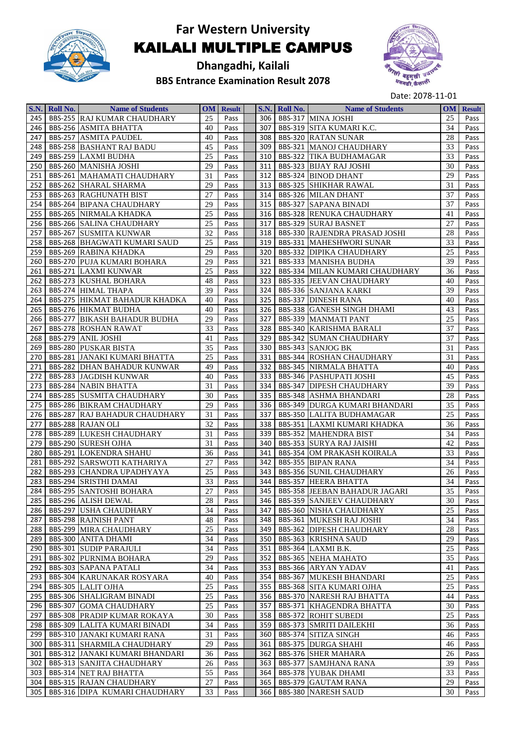

#### **Dhangadhi, Kailali BBS Entrance Examination Result 2078**



|            | S.N. Roll No. | <b>Name of Students</b>                                                |          | <b>OM</b> Result |            | <b>S.N.</b> Roll No. | <b>Name of Students</b>                                       |          | <b>OM</b> Result |
|------------|---------------|------------------------------------------------------------------------|----------|------------------|------------|----------------------|---------------------------------------------------------------|----------|------------------|
| 245        |               | <b>BBS-255 RAJ KUMAR CHAUDHARY</b>                                     | 25       | Pass             | 306        |                      | BBS-317 MINA JOSHI                                            | 25       | Pass             |
| 246        |               | <b>BBS-256 ASMITA BHATTA</b>                                           | 40       | Pass             | 307        |                      | BBS-319 SITA KUMARI K.C.                                      | 34       | Pass             |
| 247        |               | <b>BBS-257 ASMITA PAUDEL</b>                                           | 40       | Pass             | 308 l      |                      | <b>BBS-320 RATAN SUNAR</b>                                    | 28       | Pass             |
| 248        |               | <b>BBS-258 BASHANT RAJ BADU</b>                                        | 45       | Pass             | 309        |                      | <b>BBS-321 MANOJ CHAUDHARY</b>                                | 33       | Pass             |
| 249        |               | <b>BBS-259 LAXMI BUDHA</b>                                             | 25       | Pass             | 310        |                      | <b>BBS-322 TIKA BUDHAMAGAR</b>                                | 33       | Pass             |
| 250        |               | <b>BBS-260 MANISHA JOSHI</b>                                           | 29       | Pass             | 311        |                      | <b>BBS-323 BIJAY RAJ JOSHI</b>                                | 30       | Pass             |
| 251        |               | <b>BBS-261 MAHAMATI CHAUDHARY</b>                                      | 31       | Pass             | 312        |                      | <b>BBS-324 BINOD DHANT</b>                                    | 29       | Pass             |
| 252        |               | <b>BBS-262 SHARAL SHARMA</b>                                           | 29       | Pass             | 313        |                      | <b>BBS-325 SHIKHAR RAWAL</b>                                  | 31       | Pass             |
| 253        |               | <b>BBS-263 RAGHUNATH BIST</b>                                          | 27       | Pass             | 314        |                      | <b>BBS-326 MILAN DHANT</b>                                    | 37       | Pass             |
| 254        |               | <b>BBS-264 BIPANA CHAUDHARY</b>                                        | 29       | Pass             | 315        |                      | <b>BBS-327 SAPANA BINADI</b>                                  | 37       | Pass             |
| 255        |               | <b>BBS-265 NIRMALA KHADKA</b>                                          | 25       | Pass             | 316        |                      | <b>BBS-328 RENUKA CHAUDHARY</b>                               | 41       | Pass             |
| 256        |               | <b>BBS-266 SALINA CHAUDHARY</b>                                        | 25       | Pass             | 317        |                      | <b>BBS-329 SURAJ BASNET</b>                                   | 27       | Pass             |
| 257        |               | <b>BBS-267 SUSMITA KUNWAR</b>                                          | 32       | Pass             | 318        |                      | <b>BBS-330 RAJENDRA PRASAD JOSHI</b>                          | 28       | Pass             |
| 258        |               | <b>BBS-268 BHAGWATI KUMARI SAUD</b>                                    | 25       | Pass             | 319        |                      | <b>BBS-331 MAHESHWORI SUNAR</b>                               | 33       | Pass             |
| 259        |               | <b>BBS-269 RABINA KHADKA</b>                                           | 29       | Pass             | 320        |                      | <b>BBS-332 DIPIKA CHAUDHARY</b>                               | 25       | Pass             |
| 260        |               | <b>BBS-270 PUJA KUMARI BOHARA</b>                                      | 29       | Pass             | 321        |                      | <b>BBS-333 MANISHA BUDHA</b>                                  | 39       | Pass             |
| 261        |               | <b>BBS-271 LAXMI KUNWAR</b>                                            | 25       | Pass             | 322        |                      | <b>BBS-334 MILAN KUMARI CHAUDHARY</b>                         | 36       | Pass             |
| 262        |               | <b>BBS-273 KUSHAL BOHARA</b>                                           | 48       | Pass             | 323        |                      | <b>BBS-335 JEEVAN CHAUDHARY</b>                               | 40       | Pass             |
| 263        |               | <b>BBS-274 HIMAL THAPA</b>                                             | 39       | Pass             | 324        |                      | <b>BBS-336 SANJANA KARKI</b>                                  | 39       | Pass             |
| 264        |               | <b>BBS-275 HIKMAT BAHADUR KHADKA</b>                                   | 40       | Pass             | 325        |                      | <b>BBS-337 DINESH RANA</b>                                    | 40       | Pass             |
| 265        |               | <b>BBS-276 HIKMAT BUDHA</b>                                            | 40       | Pass             | 326        |                      | <b>BBS-338 GANESH SINGH DHAMI</b>                             | 43       | Pass             |
| 266        |               | <b>BBS-277 BIKASH BAHADUR BUDHA</b>                                    | 29       | Pass             | 327        |                      | <b>BBS-339 MANMATI PANT</b>                                   | 25       | Pass             |
| 267        |               | <b>BBS-278 ROSHAN RAWAT</b>                                            | 33       | Pass             | 328        |                      | <b>BBS-340 KARISHMA BARALI</b>                                | 37       | Pass             |
| 268        |               | BBS-279 ANIL JOSHI                                                     | 41       | Pass             | 329        |                      | <b>BBS-342 SUMAN CHAUDHARY</b>                                | 37       | Pass             |
| 269        |               | <b>BBS-280 PUSKAR BISTA</b>                                            | 35       | Pass             | 330        |                      | <b>BBS-343 SANJOG BK</b>                                      | 31       | Pass             |
| 270        |               | <b>BBS-281 JANAKI KUMARI BHATTA</b>                                    | 25       | Pass             | 331        |                      | <b>BBS-344 ROSHAN CHAUDHARY</b>                               | 31       | Pass             |
| 271        |               | <b>BBS-282 DHAN BAHADUR KUNWAR</b>                                     | 49       | Pass             | 332        |                      | <b>BBS-345 NIRMALA BHATTA</b>                                 | 40       | Pass             |
| 272        |               | <b>BBS-283 JAGDISH KUNWAR</b>                                          | 40       | Pass             | 333        |                      | <b>BBS-346 PASHUPATI JOSHI</b>                                | 45       | Pass             |
| 273        |               | <b>BBS-284 NABIN BHATTA</b>                                            | 31       | Pass             | 334        |                      | <b>BBS-347 DIPESH CHAUDHARY</b>                               | 39       | Pass             |
| 274        |               | <b>BBS-285 SUSMITA CHAUDHARY</b>                                       | 30       | Pass             | 335        |                      | <b>BBS-348 ASHMA BHANDARI</b>                                 | 28       | Pass             |
| 275        |               | <b>BBS-286 BIKRAM CHAUDHARY</b>                                        | 29       | Pass             | 336        |                      | <b>BBS-349 DURGA KUMARI BHANDARI</b>                          | 35       | Pass             |
| 276        |               | <b>BBS-287 RAJ BAHADUR CHAUDHARY</b>                                   | 31       | Pass             | 337        |                      | <b>BBS-350 LALITA BUDHAMAGAR</b>                              | 25       | Pass             |
| 277        |               | <b>BBS-288 RAJAN OLI</b>                                               | 32       | Pass             | 338        |                      | <b>BBS-351 LAXMI KUMARI KHADKA</b>                            | 36       | Pass             |
| 278        |               | <b>BBS-289 LUKESH CHAUDHARY</b>                                        | 31       | Pass             | 339        |                      | <b>BBS-352 MAHENDRA BIST</b>                                  | 34       | Pass             |
| 279        |               | <b>BBS-290 SURESH OJHA</b>                                             | 31       | Pass             | 340        |                      | <b>BBS-353 SURYA RAJ JAISHI</b>                               | 42       | Pass             |
| 280        |               | <b>BBS-291 LOKENDRA SHAHU</b>                                          | 36       | Pass             | 341        |                      | <b>BBS-354 OM PRAKASH KOIRALA</b>                             | 33       | Pass             |
| 281        |               | <b>BBS-292 SARSWOTI KATHARIYA</b>                                      | 27       | Pass             | 342        |                      | <b>BBS-355 BIPAN RANA</b>                                     | 34       | Pass             |
| 282        |               | <b>BBS-293 CHANDRA UPADHYAYA</b>                                       | 25       | Pass             | 343        |                      | <b>BBS-356 SUNIL CHAUDHARY</b>                                | 26       | Pass             |
| 283        |               | <b>BBS-294 SRISTHI DAMAI</b>                                           | 33       | Pass             | 344        |                      | <b>BBS-357 HEERA BHATTA</b>                                   | 34       | Pass             |
| 284        |               | <b>BBS-295 SANTOSHI BOHARA</b>                                         | 27       | Pass             |            |                      | 345 BBS-358 JEEBAN BAHADUR JAGARI                             | 35       | Pass             |
| 285        |               | <b>BBS-296 ALISH DEWAL</b>                                             | 28       | Pass             | 346        |                      | <b>BBS-359 SANJEEV CHAUDHARY</b>                              | 30       | Pass             |
| 286        |               | <b>BBS-297 USHA CHAUDHARY</b>                                          | 34       | Pass             | 347        |                      | <b>BBS-360 NISHA CHAUDHARY</b>                                | 25       | Pass             |
| 287        |               | <b>BBS-298 RAJNISH PANT</b>                                            | 48       | Pass             | 348        |                      | <b>BBS-361 MUKESH RAJ JOSHI</b>                               | 34       | Pass             |
| 288        |               | <b>BBS-299 MIRA CHAUDHARY</b>                                          | 25       | Pass             | 349        |                      | <b>BBS-362 DIPESH CHAUDHARY</b>                               | 28       | Pass             |
| 289        |               | <b>BBS-300 ANITA DHAMI</b>                                             | 34       | Pass             | 350        |                      | <b>BBS-363 KRISHNA SAUD</b>                                   | 29       | Pass             |
| 290        |               | <b>BBS-301 SUDIP PARAJULI</b>                                          | 34       | Pass             | 351        |                      | BBS-364 LAXMI B.K.                                            | 25       | Pass             |
| 291        |               | <b>BBS-302 PURNIMA BOHARA</b>                                          | 29       | Pass             | 352        |                      | <b>BBS-365 NEHA MAHATO</b>                                    | 35       | Pass             |
| 292        |               | <b>BBS-303 SAPANA PATALI</b>                                           | 34       | Pass             | 353        |                      | BBS-366 ARYAN YADAV                                           | 41       | Pass             |
| 293        |               | <b>BBS-304 KARUNAKAR ROSYARA</b>                                       | 40       | Pass             | 354        |                      | <b>BBS-367 MUKESH BHANDARI</b>                                | 25       | Pass             |
| 294        |               | <b>BBS-305 LALIT OJHA</b>                                              | 25       | Pass             | 355        |                      | <b>BBS-368 SITA KUMARI OJHA</b>                               | 25       | Pass             |
|            |               |                                                                        | 25       |                  | 356        |                      | <b>BBS-370 NARESH RAJ BHATTA</b>                              | 44       |                  |
| 295        |               | <b>BBS-306 SHALIGRAM BINADI</b><br><b>BBS-307 GOMA CHAUDHARY</b>       | 25       | Pass             | 357        |                      | <b>BBS-371 KHAGENDRA BHATTA</b>                               | 30       | Pass             |
| 296<br>297 |               | <b>BBS-308 PRADIP KUMAR ROKAYA</b>                                     | 30       | Pass<br>Pass     | 358        |                      |                                                               | 25       | Pass             |
|            |               | <b>BBS-309 LALITA KUMARI BINADI</b>                                    | 34       |                  | 359        |                      | <b>BBS-372 ROHIT SUBEDI</b><br><b>BBS-373 SMRITI DAILEKHI</b> | 36       | Pass             |
| 298        |               |                                                                        | 31       | Pass             | 360        |                      |                                                               | 46       | Pass             |
| 299        |               | <b>BBS-310 JANAKI KUMARI RANA</b><br><b>BBS-311 SHARMILA CHAUDHARY</b> | 29       | Pass             | 361        |                      | BBS-374 SITIZA SINGH                                          |          | Pass             |
| 300        |               |                                                                        | 36       | Pass             |            |                      | <b>BBS-375 DURGA SHAHI</b>                                    | 46       | Pass             |
| 301        |               | BBS-312 JANAKI KUMARI BHANDARI<br><b>BBS-313 SANJITA CHAUDHARY</b>     |          | Pass             | 362<br>363 |                      | <b>BBS-376 SHER MAHARA</b>                                    | 26<br>39 | Pass             |
| 302        |               | <b>BBS-314 NET RAJ BHATTA</b>                                          | 26<br>55 | Pass             |            |                      | <b>BBS-377 SAMJHANA RANA</b>                                  | 33       | Pass             |
| 303        |               |                                                                        |          | Pass             | 364        |                      | <b>BBS-378 YUBAK DHAMI</b>                                    |          | Pass             |
| 304        |               | <b>BBS-315 RAJAN CHAUDHARY</b>                                         | 27       | Pass             | 365 I      |                      | <b>BBS-379 GAUTAM RANA</b>                                    | 29       | Pass             |
| 305        |               | <b>BBS-316 DIPA KUMARI CHAUDHARY</b>                                   | 33       | Pass             |            |                      | 366 BBS-380 NARESH SAUD                                       | 30       | Pass             |